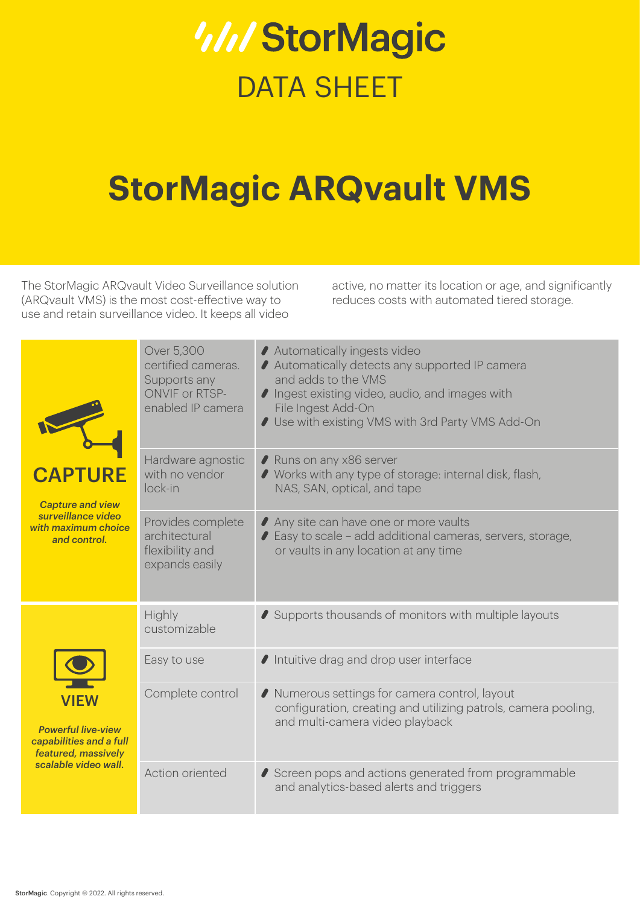# **W/StorMagic** DATA SHEET

# **StorMagic ARQvault VMS**

The StorMagic ARQvault Video Surveillance solution (ARQvault VMS) is the most cost-effective way to use and retain surveillance video. It keeps all video

active, no matter its location or age, and significantly reduces costs with automated tiered storage.

| <b>Capture and view</b><br>surveillance video<br>with maximum choice<br>and control.                               | Over 5,300<br>certified cameras.<br>Supports any<br><b>ONVIF or RTSP-</b><br>enabled IP camera | ◆ Automatically ingests video<br>Automatically detects any supported IP camera<br>and adds to the VMS<br>I Ingest existing video, audio, and images with<br>File Ingest Add-On<br>Use with existing VMS with 3rd Party VMS Add-On |
|--------------------------------------------------------------------------------------------------------------------|------------------------------------------------------------------------------------------------|-----------------------------------------------------------------------------------------------------------------------------------------------------------------------------------------------------------------------------------|
|                                                                                                                    | Hardware agnostic<br>with no vendor<br>lock-in                                                 | Runs on any x86 server<br>◆ Works with any type of storage: internal disk, flash,<br>NAS, SAN, optical, and tape                                                                                                                  |
|                                                                                                                    | Provides complete<br>architectural<br>flexibility and<br>expands easily                        | ◆ Any site can have one or more vaults<br>● Easy to scale - add additional cameras, servers, storage,<br>or vaults in any location at any time                                                                                    |
| <b>VIEW</b><br><b>Powerful live-view</b><br>capabilities and a full<br>featured, massively<br>scalable video wall. | Highly<br>customizable                                                                         | Supports thousands of monitors with multiple layouts                                                                                                                                                                              |
|                                                                                                                    | Easy to use                                                                                    | Intuitive drag and drop user interface                                                                                                                                                                                            |
|                                                                                                                    | Complete control                                                                               | ◆ Numerous settings for camera control, layout<br>configuration, creating and utilizing patrols, camera pooling,<br>and multi-camera video playback                                                                               |
|                                                                                                                    | Action oriented                                                                                | Screen pops and actions generated from programmable<br>and analytics-based alerts and triggers                                                                                                                                    |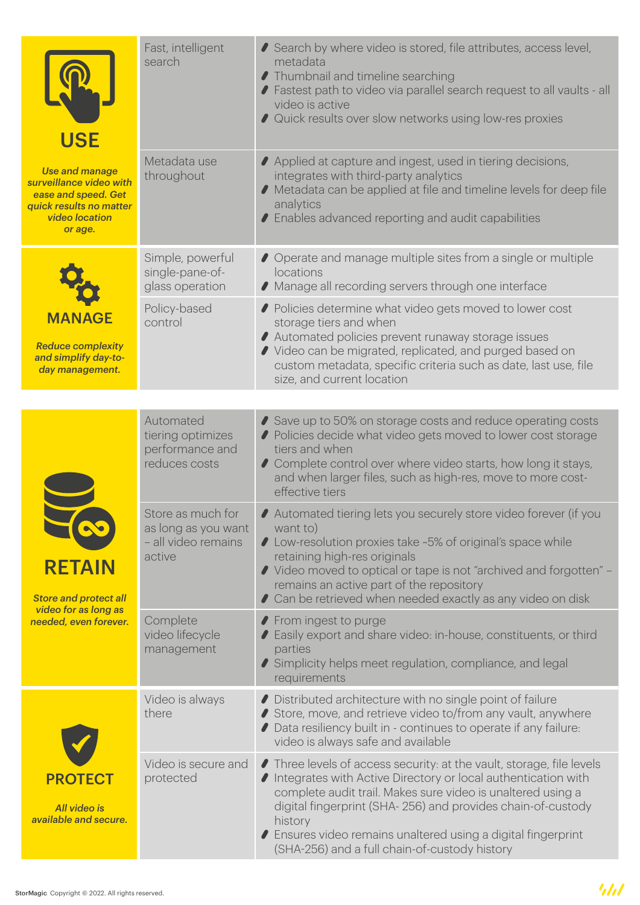| <b>USE</b>                                                                                                                             | Fast, intelligent<br>search                                               | Search by where video is stored, file attributes, access level,<br>metadata<br>● Thumbnail and timeline searching<br>◆ Fastest path to video via parallel search request to all vaults - all<br>video is active<br>◆ Quick results over slow networks using low-res proxies                                                                                                                         |
|----------------------------------------------------------------------------------------------------------------------------------------|---------------------------------------------------------------------------|-----------------------------------------------------------------------------------------------------------------------------------------------------------------------------------------------------------------------------------------------------------------------------------------------------------------------------------------------------------------------------------------------------|
| <b>Use and manage</b><br>surveillance video with<br>ease and speed. Get<br>quick results no matter<br><b>video location</b><br>or age. | Metadata use<br>throughout                                                | ◆ Applied at capture and ingest, used in tiering decisions,<br>integrates with third-party analytics<br>● Metadata can be applied at file and timeline levels for deep file<br>analytics<br>◆ Enables advanced reporting and audit capabilities                                                                                                                                                     |
| <b>MANAGE</b><br><b>Reduce complexity</b><br>and simplify day-to-<br>day management.                                                   | Simple, powerful<br>single-pane-of-<br>glass operation                    | ● Operate and manage multiple sites from a single or multiple<br>locations<br>◆ Manage all recording servers through one interface                                                                                                                                                                                                                                                                  |
|                                                                                                                                        | Policy-based<br>control                                                   | ◆ Policies determine what video gets moved to lower cost<br>storage tiers and when<br>◆ Automated policies prevent runaway storage issues<br>◆ Video can be migrated, replicated, and purged based on<br>custom metadata, specific criteria such as date, last use, file<br>size, and current location                                                                                              |
|                                                                                                                                        |                                                                           |                                                                                                                                                                                                                                                                                                                                                                                                     |
| <b>RETAIN</b><br><b>Store and protect all</b><br>video for as long as<br>needed, even forever.                                         | Automated<br>tiering optimizes<br>performance and<br>reduces costs        | Save up to 50% on storage costs and reduce operating costs<br>◆ Policies decide what video gets moved to lower cost storage<br>tiers and when<br>Complete control over where video starts, how long it stays,<br>and when larger files, such as high-res, move to more cost-<br>effective tiers                                                                                                     |
|                                                                                                                                        | Store as much for<br>as long as you want<br>- all video remains<br>active | Automated tiering lets you securely store video forever (if you<br>want to)<br>● Low-resolution proxies take ~5% of original's space while<br>retaining high-res originals<br>◆ Video moved to optical or tape is not "archived and forgotten" –<br>remains an active part of the repository<br>Can be retrieved when needed exactly as any video on disk                                           |
|                                                                                                                                        | Complete<br>video lifecycle<br>management                                 | ◆ From ingest to purge<br>◆ Easily export and share video: in-house, constituents, or third<br>parties<br>Simplicity helps meet regulation, compliance, and legal<br>requirements                                                                                                                                                                                                                   |
|                                                                                                                                        | Video is always<br>there                                                  | Distributed architecture with no single point of failure<br>Store, move, and retrieve video to/from any vault, anywhere<br>Data resiliency built in - continues to operate if any failure:<br>video is always safe and available                                                                                                                                                                    |
| <b>PROTECT</b><br>All video is<br>available and secure.                                                                                | Video is secure and<br>protected                                          | ● Three levels of access security: at the vault, storage, file levels<br>● Integrates with Active Directory or local authentication with<br>complete audit trail. Makes sure video is unaltered using a<br>digital fingerprint (SHA-256) and provides chain-of-custody<br>history<br>◆ Ensures video remains unaltered using a digital fingerprint<br>(SHA-256) and a full chain-of-custody history |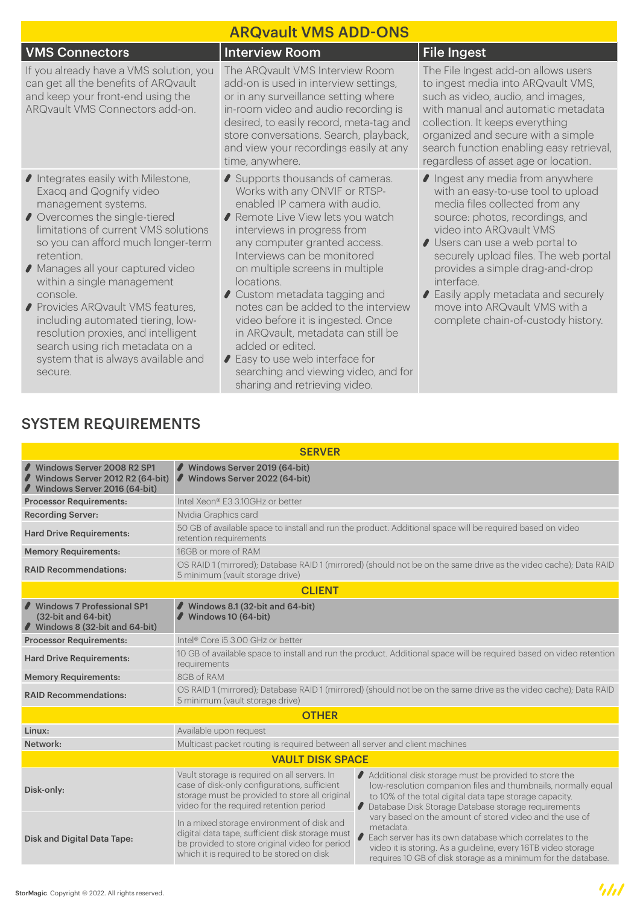| <b>ARQvault VMS ADD-ONS</b>                                                                                                                                                                                                                                                                                                                                                                                                                                                                        |                                                                                                                                                                                                                                                                                                                                                                                                                                                                                                                                    |                                                                                                                                                                                                                                                                                                                                                                                                                |  |  |  |  |
|----------------------------------------------------------------------------------------------------------------------------------------------------------------------------------------------------------------------------------------------------------------------------------------------------------------------------------------------------------------------------------------------------------------------------------------------------------------------------------------------------|------------------------------------------------------------------------------------------------------------------------------------------------------------------------------------------------------------------------------------------------------------------------------------------------------------------------------------------------------------------------------------------------------------------------------------------------------------------------------------------------------------------------------------|----------------------------------------------------------------------------------------------------------------------------------------------------------------------------------------------------------------------------------------------------------------------------------------------------------------------------------------------------------------------------------------------------------------|--|--|--|--|
| <b>VMS Connectors</b>                                                                                                                                                                                                                                                                                                                                                                                                                                                                              | <b>Interview Room</b>                                                                                                                                                                                                                                                                                                                                                                                                                                                                                                              | <b>File Ingest</b>                                                                                                                                                                                                                                                                                                                                                                                             |  |  |  |  |
| If you already have a VMS solution, you<br>can get all the benefits of ARQvault<br>and keep your front-end using the<br>ARQvault VMS Connectors add-on.                                                                                                                                                                                                                                                                                                                                            | The ARQvault VMS Interview Room<br>add-on is used in interview settings,<br>or in any surveillance setting where<br>in-room video and audio recording is<br>desired, to easily record, meta-tag and<br>store conversations. Search, playback,<br>and view your recordings easily at any<br>time, anywhere.                                                                                                                                                                                                                         | The File Ingest add-on allows users<br>to ingest media into ARQvault VMS,<br>such as video, audio, and images,<br>with manual and automatic metadata<br>collection. It keeps everything<br>organized and secure with a simple<br>search function enabling easy retrieval,<br>regardless of asset age or location.                                                                                              |  |  |  |  |
| Integrates easily with Milestone,<br>Exacq and Qognify video<br>management systems.<br>Overcomes the single-tiered<br>limitations of current VMS solutions<br>so you can afford much longer-term<br>retention.<br>● Manages all your captured video<br>within a single management<br>console<br>● Provides ARQvault VMS features,<br>including automated tiering, low-<br>resolution proxies, and intelligent<br>search using rich metadata on a<br>system that is always available and<br>secure. | Supports thousands of cameras.<br>Works with any ONVIF or RTSP-<br>enabled IP camera with audio.<br>Remote Live View lets you watch<br>interviews in progress from<br>any computer granted access.<br>Interviews can be monitored<br>on multiple screens in multiple<br>locations.<br>Custom metadata tagging and<br>notes can be added to the interview<br>video before it is ingested. Once<br>in ARQvault, metadata can still be<br>added or edited.<br>● Easy to use web interface for<br>searching and viewing video, and for | Ingest any media from anywhere<br>with an easy-to-use tool to upload<br>media files collected from any<br>source: photos, recordings, and<br>video into ARQvault VMS<br>Users can use a web portal to<br>securely upload files. The web portal<br>provides a simple drag-and-drop<br>interface.<br>◆ Easily apply metadata and securely<br>move into ARQvault VMS with a<br>complete chain-of-custody history. |  |  |  |  |

sharing and retrieving video.

### SYSTEM REQUIREMENTS

| <b>SERVER</b>                                                                                 |                                                                                                                                                                                                                                                                                                                                                                                                                                                                     |  |  |  |  |
|-----------------------------------------------------------------------------------------------|---------------------------------------------------------------------------------------------------------------------------------------------------------------------------------------------------------------------------------------------------------------------------------------------------------------------------------------------------------------------------------------------------------------------------------------------------------------------|--|--|--|--|
| Windows Server 2008 R2 SP1<br>Windows Server 2012 R2 (64-bit)<br>Windows Server 2016 (64-bit) | Windows Server 2019 (64-bit)<br>Windows Server 2022 (64-bit)                                                                                                                                                                                                                                                                                                                                                                                                        |  |  |  |  |
| <b>Processor Requirements:</b>                                                                | Intel Xeon® F3 3.10GHz or better                                                                                                                                                                                                                                                                                                                                                                                                                                    |  |  |  |  |
| <b>Recording Server:</b>                                                                      | Nvidia Graphics card                                                                                                                                                                                                                                                                                                                                                                                                                                                |  |  |  |  |
| <b>Hard Drive Requirements:</b>                                                               | 50 GB of available space to install and run the product. Additional space will be required based on video<br>retention requirements                                                                                                                                                                                                                                                                                                                                 |  |  |  |  |
| <b>Memory Requirements:</b>                                                                   | 16GB or more of RAM                                                                                                                                                                                                                                                                                                                                                                                                                                                 |  |  |  |  |
| <b>RAID Recommendations:</b>                                                                  | OS RAID 1 (mirrored); Database RAID 1 (mirrored) (should not be on the same drive as the video cache); Data RAID<br>5 minimum (vault storage drive)                                                                                                                                                                                                                                                                                                                 |  |  |  |  |
| <b>CLIENT</b>                                                                                 |                                                                                                                                                                                                                                                                                                                                                                                                                                                                     |  |  |  |  |
| Windows 7 Professional SP1<br>(32-bit and 64-bit)<br>Windows 8 (32-bit and 64-bit)            | $\blacktriangleright$ Windows 8.1 (32-bit and 64-bit)<br>$\blacktriangleright$ Windows 10 (64-bit)                                                                                                                                                                                                                                                                                                                                                                  |  |  |  |  |
| <b>Processor Requirements:</b>                                                                | Intel <sup>®</sup> Core i5 3.00 GHz or better                                                                                                                                                                                                                                                                                                                                                                                                                       |  |  |  |  |
| <b>Hard Drive Requirements:</b>                                                               | 10 GB of available space to install and run the product. Additional space will be required based on video retention<br>requirements                                                                                                                                                                                                                                                                                                                                 |  |  |  |  |
| <b>Memory Requirements:</b>                                                                   | 8GB of RAM                                                                                                                                                                                                                                                                                                                                                                                                                                                          |  |  |  |  |
| <b>RAID Recommendations:</b>                                                                  | OS RAID 1 (mirrored); Database RAID 1 (mirrored) (should not be on the same drive as the video cache); Data RAID<br>5 minimum (vault storage drive)                                                                                                                                                                                                                                                                                                                 |  |  |  |  |
| <b>OTHER</b>                                                                                  |                                                                                                                                                                                                                                                                                                                                                                                                                                                                     |  |  |  |  |
| Linux:                                                                                        | Available upon request                                                                                                                                                                                                                                                                                                                                                                                                                                              |  |  |  |  |
| Network:                                                                                      | Multicast packet routing is required between all server and client machines                                                                                                                                                                                                                                                                                                                                                                                         |  |  |  |  |
| <b>VAULT DISK SPACE</b>                                                                       |                                                                                                                                                                                                                                                                                                                                                                                                                                                                     |  |  |  |  |
| Disk-only:                                                                                    | Vault storage is required on all servers. In<br>Additional disk storage must be provided to store the<br>case of disk-only configurations, sufficient<br>low-resolution companion files and thumbnails, normally equal<br>storage must be provided to store all original<br>to 10% of the total digital data tape storage capacity.<br>video for the required retention period<br>Database Disk Storage Database storage requirements<br>$\epsilon$                 |  |  |  |  |
| <b>Disk and Digital Data Tape:</b>                                                            | vary based on the amount of stored video and the use of<br>In a mixed storage environment of disk and<br>metadata.<br>digital data tape, sufficient disk storage must<br>Leach server has its own database which correlates to the<br>be provided to store original video for period<br>video it is storing. As a guideline, every 16TB video storage<br>which it is required to be stored on disk<br>requires 10 GB of disk storage as a minimum for the database. |  |  |  |  |